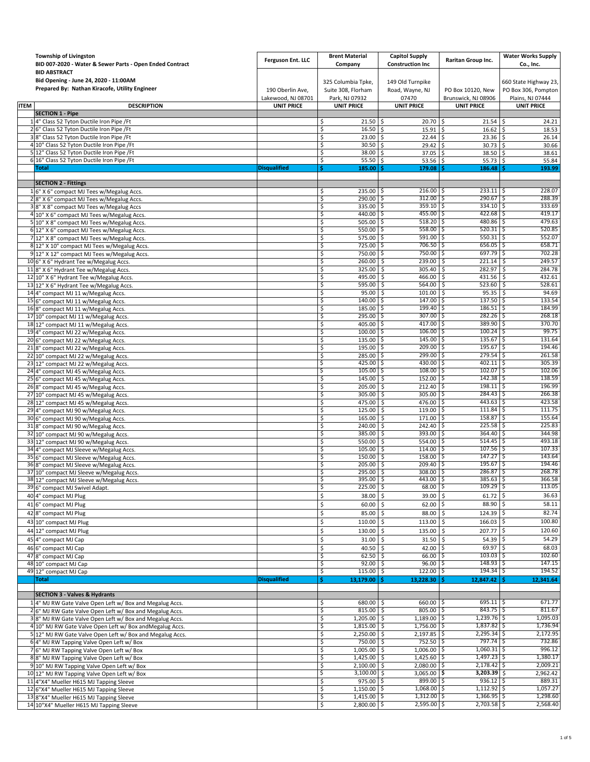|             | <b>Township of Livingston</b><br>BID 007-2020 - Water & Sewer Parts - Open Ended Contract                      | Ferguson Ent. LLC                       | <b>Brent Material</b><br>Company                           | <b>Capitol Supply</b><br><b>Construction Inc</b> | Raritan Group Inc.                       | <b>Water Works Supply</b><br>Co., Inc.       |
|-------------|----------------------------------------------------------------------------------------------------------------|-----------------------------------------|------------------------------------------------------------|--------------------------------------------------|------------------------------------------|----------------------------------------------|
|             | <b>BID ABSTRACT</b><br>Bid Opening - June 24, 2020 - 11:00AM<br>Prepared By: Nathan Kiracofe, Utility Engineer | 190 Oberlin Ave,                        | 325 Columbia Tpke,<br>Suite 308, Florham<br>Park, NJ 07932 | 149 Old Turnpike<br>Road, Wayne, NJ              | PO Box 10120, New                        | 660 State Highway 23,<br>PO Box 306, Pompton |
| <b>ITEM</b> | <b>DESCRIPTION</b>                                                                                             | Lakewood, NJ 08701<br><b>UNIT PRICE</b> | <b>UNIT PRICE</b>                                          | 07470<br><b>UNIT PRICE</b>                       | Brunswick, NJ 08906<br><b>UNIT PRICE</b> | Plains, NJ 07444<br><b>UNIT PRICE</b>        |
|             | <b>SECTION 1 - Pipe</b>                                                                                        |                                         |                                                            |                                                  |                                          |                                              |
|             | 14" Class 52 Tyton Ductile Iron Pipe /Ft                                                                       |                                         | \$<br>$21.50$ \$                                           | $20.70$ \$                                       | $21.54$ \$                               | 24.21                                        |
|             | 26" Class 52 Tyton Ductile Iron Pipe /Ft                                                                       |                                         | \$<br>$16.50$ \$                                           | $15.91$ \$                                       | $16.62 \&$                               | 18.53                                        |
|             | 38" Class 52 Tyton Ductile Iron Pipe /Ft                                                                       |                                         | \$<br>23.00                                                | Ŝ.<br>22.44                                      | \$<br>$23.36$ \$                         | 26.14                                        |
|             | 4 10" Class 52 Tyton Ductile Iron Pipe /Ft<br>5 12" Class 52 Tyton Ductile Iron Pipe /Ft                       |                                         | \$<br>30.50<br>\$<br>38.00 \$                              | 29.42<br>Ŝ.                                      | 30.73<br>Ś.                              | 30.66<br>Ŝ.                                  |
|             | 6 16" Class 52 Tyton Ductile Iron Pipe /Ft                                                                     |                                         | \$<br>55.50                                                | $37.05$ \$<br>Ŝ.<br>53.56                        | 38.50 \$<br>l \$<br>$55.73$ \$           | 38.61<br>55.84                               |
|             | <b>Total</b>                                                                                                   | <b>Disqualified</b>                     | Ŝ.<br>185.00                                               | 179.08                                           | 186.48                                   | 193.99<br>Ŝ                                  |
|             | <b>SECTION 2 - Fittings</b>                                                                                    |                                         |                                                            |                                                  |                                          |                                              |
|             | 16" X 6" compact MJ Tees w/Megalug Accs.                                                                       |                                         | 235.00<br>\$                                               | 216.00<br>ιs                                     | $233.11$ \$                              | 228.07                                       |
|             | 28" X 6" compact MJ Tees w/Megalug Accs.                                                                       |                                         | \$<br>$290.00$ \$                                          | $312.00$ S                                       | $290.67$ \$                              | 288.39                                       |
|             | 3 8" X 8" compact MJ Tees w/Megalug Accs                                                                       |                                         | \$<br>335.00                                               | 359.10<br>l\$                                    | $334.10$ \$<br>Ŝ.                        | 333.69                                       |
|             | 4 10" X 6" compact MJ Tees w/Megalug Accs.                                                                     |                                         | \$<br>440.00                                               | 455.00<br>-S<br>$518.20$ \$                      | 422.68<br>$480.86$ \$                    | 419.17<br>S<br>479.63                        |
|             | 5 10" X 8" compact MJ Tees w/Megalug Accs.                                                                     |                                         | \$<br>$505.00$ \$<br>\$<br>$550.00$ \$                     | 558.00                                           | $520.31$ \$<br>-\$                       | 520.85                                       |
|             | 6 12" X 6" compact MJ Tees w/Megalug Accs.<br>7 12" X 8" compact MJ Tees w/Megalug Accs.                       |                                         | \$<br>575.00                                               | 591.00<br>-\$                                    | $550.31$ \$<br>\$                        | 552.07                                       |
|             | 8 12" X 10" compact MJ Tees w/Megalug Accs.                                                                    |                                         | \$<br>725.00 \$                                            | 706.50                                           | $656.05$ \$<br>S                         | 658.71                                       |
|             | 9 12" X 12" compact MJ Tees w/Megalug Accs.                                                                    |                                         | \$<br>750.00 \$                                            | 750.00                                           | 697.79<br>\$                             | 702.28<br>Ŝ.                                 |
|             | 10 6" X 6" Hydrant Tee w/Megalug Accs.                                                                         |                                         | \$<br>260.00                                               | -\$<br>239.00                                    | \$<br>$221.14$ \$                        | 249.57                                       |
|             | 11 8" X 6" Hydrant Tee w/Megalug Accs.                                                                         |                                         | \$<br>325.00                                               | 305.40<br>Ŝ.                                     | 282.97<br>S.                             | 284.78<br>-\$                                |
|             | 12 10" X 6" Hydrant Tee w/Megalug Accs.                                                                        |                                         | \$<br>495.00                                               | 466.00<br>Ŝ.                                     | Ŝ.<br>431.56                             | 432.61<br>\$                                 |
|             | 13 12" X 6" Hydrant Tee w/Megalug Accs.                                                                        |                                         | \$<br>595.00                                               | 564.00<br>l \$                                   | l\$<br>523.60 \$                         | 528.61                                       |
|             | 14 4" compact MJ 11 w/Megalug Accs.                                                                            |                                         | \$<br>95.00                                                | 101.00<br>Ŝ                                      | -\$<br>$95.35$ \$                        | 94.69                                        |
|             | 15 6" compact MJ 11 w/Megalug Accs.                                                                            |                                         | 140.00<br>\$                                               | 147.00<br>-S                                     | \$<br>137.50                             | 133.54<br>S                                  |
|             | 16 8" compact MJ 11 w/Megalug Accs.                                                                            |                                         | \$<br>185.00                                               | $199.40$ \$<br>l\$                               | $186.51$ \$                              | 184.99                                       |
|             | 17 10" compact MJ 11 w/Megalug Accs.                                                                           |                                         | 295.00<br>\$                                               | $307.00$ $\frac{5}{5}$<br>۱\$                    | $282.26$ \$                              | 268.18                                       |
|             | 18 12" compact MJ 11 w/Megalug Accs.                                                                           |                                         | \$<br>405.00                                               | 417.00<br>۱\$<br>106.00                          | 389.90<br>Ŝ.<br>$100.24$ \$<br>۱\$       | 370.70<br>S<br>99.75                         |
|             | 19 4" compact MJ 22 w/Megalug Accs.                                                                            |                                         | \$<br>$100.00$ \$<br>\$<br>$135.00$ \$                     | 145.00                                           | 135.67<br>Ŝ.                             | 131.64<br>S                                  |
|             | 20 6" compact MJ 22 w/Megalug Accs.<br>218" compact MJ 22 w/Megalug Accs.                                      |                                         | \$<br>195.00                                               | $209.00$ \$<br>l \$                              | $195.67$ $\frac{5}{5}$                   | 194.46                                       |
|             | 22 10" compact MJ 22 w/Megalug Accs.                                                                           |                                         | \$<br>285.00                                               | 299.00<br>۱\$                                    | $279.54$ \$<br>-S                        | 261.58                                       |
|             | 23 12" compact MJ 22 w/Megalug Accs.                                                                           |                                         | $425.00$ \$<br>\$                                          | 430.00                                           | 402.11<br>\$                             | 305.39<br>l\$                                |
|             | 24 4" compact MJ 45 w/Megalug Accs.                                                                            |                                         | $105.00$ \$<br>\$.                                         | $108.00$ \$                                      | $102.07$ \$                              | 102.06                                       |
|             | 25 6" compact MJ 45 w/Megalug Accs.                                                                            |                                         | \$<br>145.00                                               | 152.00<br>Ŝ.                                     | 142.38                                   | 138.59<br>-S                                 |
|             | 26 8" compact MJ 45 w/Megalug Accs.                                                                            |                                         | \$<br>205.00                                               | 212.40<br>۱\$                                    | $198.11$ \$                              | 196.99                                       |
|             | 27 10" compact MJ 45 w/Megalug Accs.                                                                           |                                         | \$<br>305.00 \$                                            | 305.00                                           | $284.43$ \$<br>-\$                       | 266.38                                       |
|             | 28 12" compact MJ 45 w/Megalug Accs.                                                                           |                                         | \$<br>475.00                                               | 476.00<br>Ŝ.                                     | $443.63$ \$<br>S                         | 423.58                                       |
|             | 29 4" compact MJ 90 w/Megalug Accs.                                                                            |                                         | 125.00<br>\$                                               | 119.00<br>-S                                     | 111.84<br>Ş                              | 111.75<br>S                                  |
|             | 30 6" compact MJ 90 w/Megalug Accs.                                                                            |                                         | \$<br>165.00 \$                                            | 171.00                                           | 158.87<br>I\$                            | 155.64<br>-S                                 |
|             | 318" compact MJ 90 w/Megalug Accs.                                                                             |                                         | \$<br>240.00                                               | Ŝ.<br>242.40                                     | $225.58$ \$<br>\$                        | 225.83                                       |
|             | 32 10" compact MJ 90 w/Megalug Accs.                                                                           |                                         | \$<br>385.00                                               | 393.00<br>Ŝ.                                     | 364.40<br>-\$<br>$514.45$ $\sqrt{5}$     | 344.98<br>S<br>493.18                        |
|             | 33 12" compact MJ 90 w/Megalug Accs.<br>34 4" compact MJ Sleeve w/Megalug Accs.                                |                                         | \$<br>550.00                                               | 554.00 \$<br>۱\$                                 | $107.56$ \$<br>-S                        | 107.33                                       |
|             | 35 6" compact MJ Sleeve w/Megalug Accs                                                                         |                                         | \$<br>105.00<br>150.00<br>\$                               | 114.00<br>۱\$<br>158.00<br>-S                    | 147.27<br>S                              | 143.64<br>-S                                 |
|             | 36 8" compact MJ Sleeve w/Megalug Accs.                                                                        |                                         | 205.00<br>\$                                               | 209.40<br>l S                                    | $195.67$ $\frac{2}{5}$                   | 194.46                                       |
|             | 37 10" compact MJ Sleeve w/Megalug Accs.                                                                       |                                         | \$<br>$295.00$ \$                                          | 308.00                                           | $286.87$ \$<br>۱\$                       | 268.78                                       |
|             | 38 12" compact MJ Sleeve w/Megalug Accs.                                                                       |                                         | 395.00<br>ς                                                | 443.00                                           | 385.63                                   | 366.58                                       |
|             | 39 6" compact MJ Swivel Adapt.                                                                                 |                                         | \$<br>225.00 \$                                            | $68.00$ $\frac{5}{5}$                            | $109.29$ \$                              | 113.05                                       |
|             | 40 4" compact MJ Plug                                                                                          |                                         | \$<br>38.00 \$                                             | 39.00 \$                                         | $61.72$ \$                               | 36.63                                        |
|             | 41 6" compact MJ Plug                                                                                          |                                         | \$<br>60.00 \$                                             | $62.00$ \$                                       | 88.90 \$                                 | 58.11                                        |
|             | 42 8" compact MJ Plug                                                                                          |                                         | \$<br>85.00 \$                                             | 88.00 \$                                         | $124.39$ \$                              | 82.74                                        |
|             | 43 10" compact MJ Plug                                                                                         |                                         | \$<br>110.00 \$                                            | 113.00 \$                                        | $166.03$ \$                              | 100.80                                       |
|             | 44 12" compact MJ Plug                                                                                         |                                         | \$<br>130.00 \$                                            | 135.00 \$                                        | 207.77 \$                                | 120.60                                       |
|             | 45 4" compact MJ Cap                                                                                           |                                         | \$<br>$31.00$ \$                                           | $31.50$ \$                                       | $54.39$ \$                               | 54.29                                        |
|             | 46 6" compact MJ Cap                                                                                           |                                         | \$<br>40.50                                                | Ŝ.<br>42.00                                      | 69.97 \$<br>-\$                          | 68.03                                        |
|             | 47 8" compact MJ Cap                                                                                           |                                         | \$<br>$62.50$ \$                                           | $66.00$ $\frac{5}{5}$                            | $103.03$ \$                              | 102.60                                       |
|             | 48 10" compact MJ Cap                                                                                          |                                         | $92.00$   \$<br>\$                                         | $96.00$ \$                                       | $148.93$ \$                              | 147.15                                       |
|             | 49 12" compact MJ Cap                                                                                          |                                         | \$<br>$115.00$ \$                                          | 122.00                                           | $194.34$ \$                              | 194.52                                       |
|             | Total                                                                                                          | <b>Disqualified</b>                     | \$.<br>$13,179.00$ \$                                      | 13,228.30                                        | 12,847.42                                | 12,341.64<br>Ŝ.                              |
|             | <b>SECTION 3 - Valves &amp; Hydrants</b>                                                                       |                                         |                                                            |                                                  |                                          |                                              |
|             | 14" MJ RW Gate Valve Open Left w/ Box and Megalug Accs.                                                        |                                         | 680.00 \$<br>\$                                            | 660.00 \$                                        | $695.11$ \$                              | 671.77                                       |
|             | 26" MJ RW Gate Valve Open Left w/ Box and Megalug Accs.                                                        |                                         | \$<br>$815.00$ \$                                          | $805.00$ $\frac{5}{5}$                           | $843.75$ \$                              | 811.67                                       |
|             | 3 8" MJ RW Gate Valve Open Left w/ Box and Megalug Accs.                                                       |                                         | \$<br>$1,205.00$ \$                                        | $1,189.00$ \$                                    | $1,239.76$ \$                            | 1,095.03                                     |
|             | 4 10" MJ RW Gate Valve Open Left w/ Box and Megalug Accs.                                                      |                                         | \$<br>1,815.00 \$<br>$2,250.00$ \$                         | 1,756.00 \$                                      | 1,837.82 \$<br>$2,295.34$ \$             | 1,736.94<br>2,172.95                         |
|             | 5 12" MJ RW Gate Valve Open Left w/ Box and Megalug Accs.                                                      |                                         | \$<br>\$<br>750.00                                         | $2,197.85$ \$<br>l \$<br>752.50 \$               | $797.74$ \$                              | 732.86                                       |
|             | 64" MJ RW Tapping Valve Open Left w/ Box<br>76" MJ RW Tapping Valve Open Left w/ Box                           |                                         | \$<br>1,005.00                                             | $1,006.00$ \$                                    | $1,060.31$ \$                            | 996.12                                       |
|             | 88" MJ RW Tapping Valve Open Left w/ Box                                                                       |                                         | \$<br>1,425.00 \$                                          | 1,425.60 \$                                      | $1,497.23$ \$                            | 1,380.17                                     |
|             | 9 10" MJ RW Tapping Valve Open Left w/ Box                                                                     |                                         | \$<br>2,100.00 \$                                          | 2,080.00 \$                                      | $2,178.42$ \$                            | 2,009.21                                     |
|             | 10 12" MJ RW Tapping Valve Open Left w/ Box                                                                    |                                         | $3,100.00$ \$<br>\$                                        | $3,065.00$ \$                                    | 3,203.39 \$                              | 2,962.42                                     |
|             | 11 4"X4" Mueller H615 MJ Tapping Sleeve                                                                        |                                         | $975.00$ \$<br>\$                                          | $899.00$ \$                                      | $936.12$ \$                              | 889.31                                       |
|             | 12 6"X4" Mueller H615 MJ Tapping Sleeve                                                                        |                                         | \$<br>$1,150.00$ \$                                        | $1,068.00$ \$                                    | $1,112.92$ \$                            | 1,057.27                                     |
|             | 13 8"X4" Mueller H615 MJ Tapping Sleeve                                                                        |                                         | \$<br>1,415.00                                             | $1,312.00$ \$<br>l\$                             | $1,366.95$ \$                            | 1,298.60                                     |
|             | 14 10"X4" Mueller H615 MJ Tapping Sleeve                                                                       |                                         | \$<br>$2,800.00$ \$                                        | $2,595.00$ \$                                    | $2,703.58$ \$                            | 2,568.40                                     |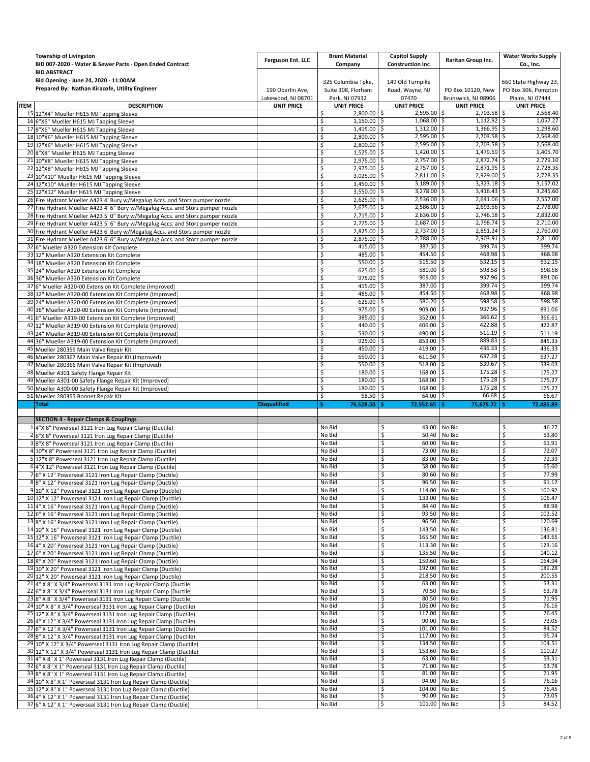|             | <b>Township of Livingston</b><br>BID 007-2020 - Water & Sewer Parts - Open Ended Contract                                            | Ferguson Ent. LLC                       | <b>Brent Material</b><br>Company         | <b>Capitol Supply</b><br><b>Construction Inc</b> | Raritan Group Inc.                       | <b>Water Works Supply</b><br>Co., Inc.       |
|-------------|--------------------------------------------------------------------------------------------------------------------------------------|-----------------------------------------|------------------------------------------|--------------------------------------------------|------------------------------------------|----------------------------------------------|
|             | <b>BID ABSTRACT</b><br>Bid Opening - June 24, 2020 - 11:00AM<br>Prepared By: Nathan Kiracofe, Utility Engineer                       | 190 Oberlin Ave,                        | 325 Columbia Tpke,<br>Suite 308, Florham | 149 Old Turnpike<br>Road, Wayne, NJ              | PO Box 10120, New                        | 660 State Highway 23,<br>PO Box 306, Pompton |
| <b>ITEM</b> | <b>DESCRIPTION</b>                                                                                                                   | Lakewood, NJ 08701<br><b>UNIT PRICE</b> | Park, NJ 07932<br><b>UNIT PRICE</b>      | 07470<br><b>UNIT PRICE</b>                       | Brunswick, NJ 08906<br><b>UNIT PRICE</b> | Plains, NJ 07444<br><b>UNIT PRICE</b>        |
|             | 15 12"X4" Mueller H615 MJ Tapping Sleeve                                                                                             |                                         | \$<br>2,800.00 \$                        | $2,595.00$ \$                                    | 2,703.58 \$                              | 2,568.40                                     |
|             | 16 6"X6" Mueller H615 MJ Tapping Sleeve                                                                                              |                                         | \$<br>$1,150.00$ \$                      | $1,068.00$ \$                                    | $1,112.92$ \$                            | 1,057.27                                     |
|             | 17 8"X6" Mueller H615 MJ Tapping Sleeve                                                                                              |                                         | \$<br>$1,415.00$ \$                      | $1,312.00$ \$                                    | $1,366.95$ \$                            | 1,298.60                                     |
|             | 18 10"X6" Mueller H615 MJ Tapping Sleeve                                                                                             |                                         | \$<br>2,800.00                           | 2,595.00<br>-\$                                  | $2,703.58$ \$<br>\$                      | 2,568.40                                     |
|             | 19 12"X6" Mueller H615 MJ Tapping Sleeve                                                                                             |                                         | \$<br>2,800.00                           | $2,595.00$ \$<br>-S                              | $2,703.58$ \$                            | 2,568.40                                     |
|             | 20 8"X8" Mueller H615 MJ Tapping Sleeve                                                                                              |                                         | \$<br>$1,525.00$ \$                      | $1,420.00$ \$                                    | $1,479.69$ \$                            | 1,405.70                                     |
|             | 21 10"X8" Mueller H615 MJ Tapping Sleeve                                                                                             |                                         | \$<br>2,975.00                           | $2,757.00$ \$<br>۱\$                             | $2,872.74$ \$                            | 2,729.10                                     |
|             | 22 12"X8" Mueller H615 MJ Tapping Sleeve                                                                                             |                                         | \$<br>2,975.00                           | $2,757.00$ \$<br>-S                              | 2,871.95                                 | 2,728.35<br>-S                               |
|             | 23 10"X10" Mueller H615 MJ Tapping Sleeve                                                                                            |                                         | \$<br>3,025.00                           | $2,811.00$ \$<br>۱\$                             | $2,929.00$ \$                            | 2,728.35                                     |
|             | 24 12"X10" Mueller H615 MJ Tapping Sleeve                                                                                            |                                         | \$<br>$3,450.00$ \$                      | $3,189.00$ \$                                    | $3,323.18$ \$                            | 3.157.02                                     |
|             | 25 12"X12" Mueller H615 MJ Tapping Sleeve                                                                                            |                                         | \$<br>3,550.00                           | $3,278.00$ \$<br>l \$                            | $3,416.43$ \$                            | 3,245.60                                     |
|             | 26 Fire Hydrant Mueller A423 4' Bury w/Megalug Accs. and Storz pumper nozzle                                                         |                                         | 2,625.00<br>\$                           | $2,536.00$ \$<br>-S                              | $2,641.06$ \$                            | 2,557.00                                     |
|             | 27 Fire Hydrant Mueller A423 4' 6" Bury w/Megalug Accs. and Storz pumper nozzle                                                      |                                         | \$<br>2,675.00                           | $2,586.00$ \$<br>l\$                             | $2,693.56$ \$                            | 2,778.00                                     |
|             | 28 Fire Hydrant Mueller A423 5' 0" Bury w/Megalug Accs. and Storz pumper nozzle                                                      |                                         | $2,715.00$ \$<br>\$                      | $2,636.00$ \$                                    | 2,746.18                                 | 2,832.00                                     |
|             | 29 Fire Hydrant Mueller A423 5' 6" Bury w/Megalug Accs. and Storz pumper nozzle                                                      |                                         | \$<br>2,775.00                           | $2,687.00$ \$<br>-S                              | 2,798.74 \$                              | 2,710.00                                     |
|             | 30 Fire Hydrant Mueller A423 6' Bury w/Megalug Accs. and Storz pumper nozzle                                                         |                                         | \$<br>2,825.00                           | $2,737.00$ \$<br>-S                              | 2,851.24                                 | 2,760.00<br>\$.                              |
|             | 31 Fire Hydrant Mueller A423 6' 6" Bury w/Megalug Accs. and Storz pumper nozzle                                                      |                                         | \$<br>$2,875.00$ \$                      | 2,788.00 \$                                      | $2,903.91$ \$                            | 2,811.00                                     |
|             | 32 6" Mueller A320 Extension Kit Complete                                                                                            |                                         | \$<br>415.00                             | $387.50$ \$<br>-S                                | $399.74$ \$                              | 399.74                                       |
|             | 33 12" Mueller A320 Extension Kit Complete                                                                                           |                                         | \$<br>485.00                             | 454.50<br>-S                                     | 468.98<br>-\$                            | 468.98<br>-S                                 |
|             | 34 18" Mueller A320 Extension Kit Complete                                                                                           |                                         | \$<br>$550.00$ \$                        | $515.50$ $\frac{2}{5}$                           | $532.15$ $\sqrt{5}$                      | 532.15                                       |
|             | 35 24" Mueller A320 Extension Kit Complete                                                                                           |                                         | \$<br>$625.00$ \$                        | 580.00 \$                                        | $598.58$ \$                              | 598.58                                       |
|             | 36 36" Mueller A320 Extension Kit Complete                                                                                           |                                         | 975.00<br>\$                             | 909.00<br>\$.                                    | $937.96$ \$<br>\$                        | 891.06                                       |
|             |                                                                                                                                      |                                         |                                          | 387.00<br>۱\$                                    | $399.74$ \$<br>\$,                       | 399.74                                       |
|             | 37 6" Mueller A320-00 Extension Kit Complete (Improved)<br>38 12" Mueller A320-00 Extension Kit Complete (Improved)                  |                                         | \$<br>415.00<br>\$<br>485.00 \$          | 454.50                                           | 468.98<br>Ŝ.                             | 468.98<br>\$                                 |
|             | 39 24" Mueller A320-00 Extension Kit Complete (Improved)                                                                             |                                         | \$<br>625.00                             | 580.20<br>۱\$                                    | \$<br>$598.58$ \$                        | 598.58                                       |
|             |                                                                                                                                      |                                         | 975.00                                   | 909.00<br>-Ŝ                                     | 937.96<br>\$                             | 891.06<br>-\$                                |
|             | 40 36" Mueller A320-00 Extension Kit Complete (Improved)                                                                             |                                         | \$<br>\$<br>385.00                       | 352.00                                           | 366.62<br>\$.                            | Ŝ.                                           |
|             | 41 6" Mueller A319-00 Extension Kit Complete (Improved                                                                               |                                         | 440.00 \$                                | \$.<br>$406.00$ \$                               | $422.88$ \$                              | 366.61                                       |
|             | 42 12" Mueller A319-00 Extension Kit Complete (Improved)                                                                             |                                         | \$<br>530.00                             | -\$<br>490.00                                    | $511.19$ \$<br>\$                        | 422.87<br>511.19                             |
|             | 43 24" Mueller A319-00 Extension Kit Complete (Improved)                                                                             |                                         | \$<br>925.00                             | 853.00                                           | 889.83                                   | 845.33                                       |
|             | 44 36" Mueller A319-00 Extension Kit Complete (Improved)                                                                             |                                         | \$                                       | -\$                                              | -\$                                      | \$.                                          |
|             | 45 Mueller 280359 Main Valve Repair Kit                                                                                              |                                         | \$<br>450.00                             | ۱\$<br>419.00 \$                                 | $436.33$ \$<br>$637.28$ \$               | 436.33                                       |
|             | 46 Mueller 280367 Main Valve Repair Kit (Improved)                                                                                   |                                         | \$<br>650.00                             | $611.50$ \$<br>۱\$                               |                                          | 637.27                                       |
| 47          | Mueller 280366 Main Valve Repair Kit (Improved)                                                                                      |                                         | \$<br>550.00                             | 518.00<br>-\$                                    | \$<br>539.67                             | \$<br>539.03                                 |
|             | 48 Mueller A301 Safety Flange Repair Kit                                                                                             |                                         | \$<br>180.00                             | 168.00 \$<br>۱\$                                 | 175.28                                   | \$<br>175.27                                 |
|             | 49 Mueller A301-00 Safety Flange Repair Kit (Improved)                                                                               |                                         | \$<br>180.00                             | 168.00<br>-\$                                    | 175.28<br>Ŝ.<br>$175.28$ \$              | 175.27<br>Ŝ.<br>175.27                       |
|             | 50 Mueller A300-00 Safety Flange Repair Kit (Improved)                                                                               |                                         | \$<br>180.00<br>\$<br>68.50              | -\$<br>168.00 \$<br>$64.00$ \$<br>۱\$            | $66.68$ \$                               | 66.67                                        |
|             | 51 Mueller 280355 Bonnet Repair Kit<br>Total                                                                                         | <b>Disqualified</b>                     | Ś.                                       |                                                  |                                          | 72,485.89                                    |
|             |                                                                                                                                      |                                         | 76,528.50                                | 72,552.65                                        | 75,625.72                                |                                              |
|             | <b>SECTION 4 - Repair Clamps &amp; Couplings</b>                                                                                     |                                         |                                          |                                                  |                                          |                                              |
|             | 14"X 8" Powerseal 3121 Iron Lug Repair Clamp (Ductile)                                                                               |                                         | No Bid                                   | S                                                | 43.00 No Bid                             | 46.27<br>\$                                  |
|             | 2 6"X 8" Powerseal 3121 Iron Lug Repair Clamp (Ductile)                                                                              |                                         | No Bid                                   | 50.40<br>\$                                      | No Bid                                   | \$<br>53.80                                  |
|             | 38"X 8" Powerseal 3121 Iron Lug Repair Clamp (Ductile)                                                                               |                                         | No Bid                                   | \$                                               | 60.00 No Bid                             | \$<br>61.91                                  |
|             | 4 10"X 8" Powerseal 3121 Iron Lug Repair Clamp (Ductile)                                                                             |                                         | No Bid                                   | 73.00<br>\$                                      | No Bid                                   | 72.07<br>\$                                  |
|             | 5 12"X 8" Powerseal 3121 Iron Lug Repair Clamp (Ductile)                                                                             |                                         | No Bid                                   | \$                                               | 83.00 No Bid                             | \$<br>72.39                                  |
|             | 6 4"X 12" Powerseal 3121 Iron Lug Repair Clamp (Ductile)                                                                             |                                         | No Bid                                   | \$<br>58.00                                      | No Bid                                   | 65.60<br>\$                                  |
|             | 76" X 12" Powerseal 3121 Iron Lug Repair Clamp (Ductile)                                                                             |                                         | No Bid                                   | \$                                               | 80.60 No Bid                             | 77.99<br>\$                                  |
|             | 8 8" X 12" Powerseal 3121 Iron Lug Repair Clamp (Ductile)                                                                            |                                         | No Bid                                   |                                                  | 96.50 No Bid                             | -\$<br>91.12                                 |
|             | 9 10" X 12" Powerseal 3121 Iron Lug Repair Clamp (Ductile)                                                                           |                                         | No Bid                                   | Ş<br>\$                                          | 114.00 No Bid                            | \$<br>100.92                                 |
|             |                                                                                                                                      |                                         | No Bid                                   |                                                  | 133.00 No Bid                            | 106.47<br>\$                                 |
|             | 10 12" X 12" Powerseal 3121 Iron Lug Repair Clamp (Ductile)<br>11 4" X 16" Powerseal 3121 Iron Lug Repair Clamp (Ductile)            |                                         | No Bid                                   | \$<br>\$                                         | 84.40 No Bid                             | \$<br>88.98                                  |
|             | 12 6" X 16" Powerseal 3121 Iron Lug Repair Clamp (Ductile)                                                                           |                                         | No Bid                                   | \$                                               | 93.50 No Bid                             | 102.52<br>\$                                 |
|             |                                                                                                                                      |                                         | No Bid                                   | \$                                               | 96.50 No Bid                             | \$<br>120.69                                 |
|             | 13 8" X 16" Powerseal 3121 Iron Lug Repair Clamp (Ductile)                                                                           |                                         | No Bid                                   | \$                                               | 143.50 No Bid                            | \$<br>136.81                                 |
|             | 14 10" X 16" Powerseal 3121 Iron Lug Repair Clamp (Ductile)                                                                          |                                         | No Bid                                   | \$                                               | 165.50 No Bid                            | \$<br>143.65                                 |
|             | 15 12" X 16" Powerseal 3121 Iron Lug Repair Clamp (Ductile)                                                                          |                                         | No Bid                                   | \$                                               | 113.30 No Bid                            | \$<br>123.16                                 |
|             | 16 4" X 20" Powerseal 3121 Iron Lug Repair Clamp (Ductile)                                                                           |                                         |                                          |                                                  | 135.50 No Bid                            | 140.12                                       |
|             | 17 6" X 20" Powerseal 3121 Iron Lug Repair Clamp (Ductile)                                                                           |                                         | No Bid                                   | \$<br>159.60 No Bid                              |                                          | \$                                           |
|             | 18 8" X 20" Powerseal 3121 Iron Lug Repair Clamp (Ductile)                                                                           |                                         | No Bid                                   | \$<br>\$                                         | 192.00 No Bid                            | \$<br>164.94<br>189.28                       |
|             | 19 10" X 20" Powerseal 3121 Iron Lug Repair Clamp (Ductile)                                                                          |                                         | No Bid<br>No Bid                         | \$                                               | 218.50 No Bid                            | \$<br>\$<br>200.55                           |
|             | 20 12" X 20" Powerseal 3121 Iron Lug Repair Clamp (Ductile)                                                                          |                                         |                                          |                                                  | 63.00 No Bid                             | 53.31                                        |
|             | 21 4" X 8" X 3/4" Powerseal 3131 Iron Lug Repair Clamp (Ductile)<br>22 6" X 8" X 3/4" Powerseal 3131 Iron Lug Repair Clamp (Ductile) |                                         | No Bid<br>No Bid                         | \$.<br>\$                                        | 70.50 No Bid                             | \$<br>63.78<br>\$                            |
|             | 23 8" X 8" X 3/4" Powerseal 3131 Iron Lug Repair Clamp (Ductile)                                                                     |                                         | No Bid                                   | \$                                               | 80.50 No Bid                             | 71.95<br>\$                                  |
|             | 24 10" X 8" X 3/4" Powerseal 3131 Iron Lug Repair Clamp (Ductile)                                                                    |                                         | No Bid                                   | \$                                               | 106.00 No Bid                            | 76.16<br>\$                                  |
|             | 25 12" X 8" X 3/4" Powerseal 3131 Iron Lug Repair Clamp (Ductile)                                                                    |                                         | No Bid                                   | \$                                               | 117.00 No Bid                            | 76.45<br>\$                                  |
|             | 26 4" X 12" X 3/4" Powerseal 3131 Iron Lug Repair Clamp (Ductile)                                                                    |                                         | No Bid                                   | \$                                               | 90.00 No Bid                             | 73.05<br>\$                                  |
|             | 27 6" X 12" X 3/4" Powerseal 3131 Iron Lug Repair Clamp (Ductile)                                                                    |                                         | No Bid                                   | \$                                               | 101.00 No Bid                            | \$<br>84.52                                  |
|             | 28 8" X 12" X 3/4" Powerseal 3131 Iron Lug Repair Clamp (Ductile)                                                                    |                                         | No Bid                                   | \$                                               | 117.00 No Bid                            | 95.74<br>\$                                  |
|             | 29 10" X 12" X 3/4" Powerseal 3131 Iron Lug Repair Clamp (Ductile)                                                                   |                                         | No Bid                                   | \$                                               | 134.50 No Bid                            | 104.51<br>\$                                 |
|             | 30 12" X 12" X 3/4" Powerseal 3131 Iron Lug Repair Clamp (Ductile)                                                                   |                                         | No Bid                                   | \$                                               | 153.60 No Bid                            | \$<br>110.27                                 |
|             | 31 4" X 8" X 1" Powerseal 3131 Iron Lug Repair Clamp (Ductile)                                                                       |                                         | No Bid                                   | \$.                                              | 63.00 No Bid                             | 53.31<br>\$                                  |
|             | 32 6" X 8" X 1" Powerseal 3131 Iron Lug Repair Clamp (Ductile)                                                                       |                                         | No Bid                                   | \$                                               | 71.00 No Bid                             | 63.78<br>\$                                  |
|             | 338" X 8" X 1" Powerseal 3131 Iron Lug Repair Clamp (Ductile)                                                                        |                                         | No Bid                                   | \$                                               | 81.00 No Bid                             | 71.95<br>\$                                  |
|             | 34 10" X 8" X 1" Powerseal 3131 Iron Lug Repair Clamp (Ductile)                                                                      |                                         | No Bid                                   | \$.                                              | 94.00 No Bid                             | 76.16<br>\$                                  |
|             | 35 12" X 8" X 1" Powerseal 3131 Iron Lug Repair Clamp (Ductile)                                                                      |                                         | No Bid                                   | \$                                               | 104.00 No Bid                            | 76.45<br>\$                                  |
|             | 36 4" X 12" X 1" Powerseal 3131 Iron Lug Repair Clamp (Ductile)                                                                      |                                         | No Bid                                   | Ş                                                | 90.00 No Bid                             | 73.05<br>Ş                                   |
|             | 37 6" X 12" X 1" Powerseal 3131 Iron Lug Repair Clamp (Ductile)                                                                      |                                         | No Bid                                   | \$                                               | 101.00 No Bid                            | 84.52<br>\$                                  |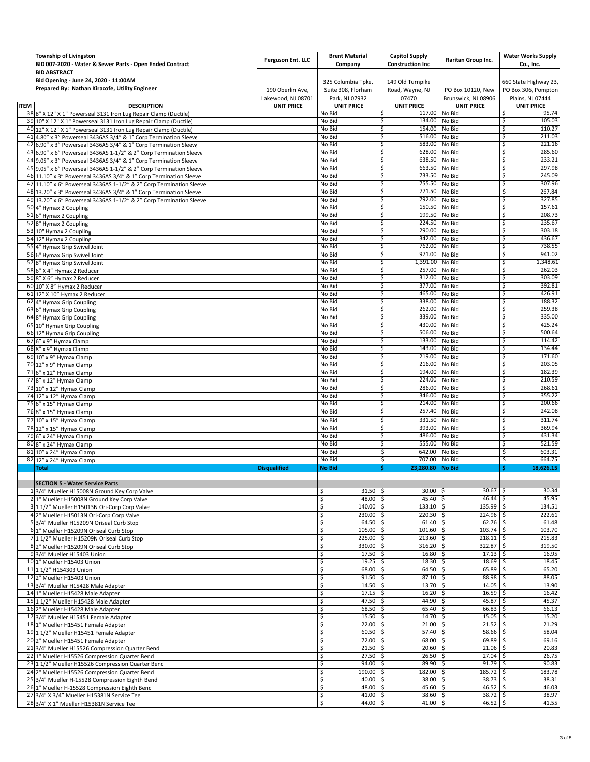|             | <b>Township of Livingston</b><br>BID 007-2020 - Water & Sewer Parts - Open Ended Contract<br><b>BID ABSTRACT</b>                       | Ferguson Ent. LLC                      | <b>Brent Material</b><br>Company                           | <b>Capitol Supply</b><br><b>Construction Inc</b> | Raritan Group Inc.                       | <b>Water Works Supply</b><br>Co., Inc.                           |
|-------------|----------------------------------------------------------------------------------------------------------------------------------------|----------------------------------------|------------------------------------------------------------|--------------------------------------------------|------------------------------------------|------------------------------------------------------------------|
|             | Bid Opening - June 24, 2020 - 11:00AM<br>Prepared By: Nathan Kiracofe, Utility Engineer                                                | 190 Oberlin Ave,<br>Lakewood, NJ 08701 | 325 Columbia Tpke,<br>Suite 308, Florham<br>Park, NJ 07932 | 149 Old Turnpike<br>Road, Wayne, NJ<br>07470     | PO Box 10120, New<br>Brunswick, NJ 08906 | 660 State Highway 23,<br>PO Box 306, Pompton<br>Plains, NJ 07444 |
| <b>ITEM</b> | <b>DESCRIPTION</b>                                                                                                                     | <b>UNIT PRICE</b>                      | <b>UNIT PRICE</b>                                          | <b>UNIT PRICE</b>                                | <b>UNIT PRICE</b>                        | <b>UNIT PRICE</b>                                                |
|             | 38 8" X 12" X 1" Powerseal 3131 Iron Lug Repair Clamp (Ductile)                                                                        |                                        | No Bid                                                     | 117.00<br>\$.                                    | No Bid                                   | 95.74<br>\$.                                                     |
|             | 39 10" X 12" X 1" Powerseal 3131 Iron Lug Repair Clamp (Ductile)                                                                       |                                        | No Bid                                                     | \$<br>134.00                                     | No Bid                                   | 105.03<br>\$                                                     |
|             | 40 12" X 12" X 1" Powerseal 3131 Iron Lug Repair Clamp (Ductile)                                                                       |                                        | No Bid                                                     | 154.00<br>\$                                     | No Bid                                   | 110.27<br>\$                                                     |
|             | 41 4.80" x 3" Powerseal 3436AS 3/4" & 1" Corp Termination Sleeve                                                                       |                                        | No Bid                                                     | \$<br>516.00<br>583.00                           | No Bid                                   | 211.03<br>\$<br>221.16                                           |
|             | 42 6.90" x 3" Powerseal 3436AS 3/4" & 1" Corp Termination Sleeve                                                                       |                                        | No Bid<br>No Bid                                           | \$.<br>628.00<br>\$                              | No Bid<br>No Bid                         | \$<br>285.60<br>\$                                               |
|             | 43 6.90" x 6" Powerseal 3436AS 1-1/2" & 2" Corp Termination Sleeve<br>44 9.05" x 3" Powerseal 3436AS 3/4" & 1" Corp Termination Sleeve |                                        | No Bid                                                     | \$<br>638.50                                     | No Bid                                   | 233.21<br>\$                                                     |
|             | 45 9.05" x 6" Powerseal 3436AS 1-1/2" & 2" Corp Termination Sleeve                                                                     |                                        | No Bid                                                     | \$<br>663.50                                     | No Bid                                   | 297.98<br>\$                                                     |
|             | 46 11.10" x 3" Powerseal 3436AS 3/4" & 1" Corp Termination Sleeve                                                                      |                                        | No Bid                                                     | 733.50<br>\$.                                    | No Bid                                   | 245.09<br>\$.                                                    |
|             | 47 11.10" x 6" Powerseal 3436AS 1-1/2" & 2" Corp Termination Sleeve                                                                    |                                        | No Bid                                                     | \$<br>755.50                                     | No Bid                                   | 307.96<br>\$                                                     |
|             | 48 13.20" x 3" Powerseal 3436AS 3/4" & 1" Corp Termination Sleeve                                                                      |                                        | No Bid                                                     | 771.50<br>\$                                     | No Bid                                   | 267.84<br>\$                                                     |
|             | 49 13.20" x 6" Powerseal 3436AS 1-1/2" & 2" Corp Termination Sleeve                                                                    |                                        | No Bid                                                     | \$<br>792.00                                     | No Bid                                   | \$<br>327.85                                                     |
|             | 50 4" Hymax 2 Coupling                                                                                                                 |                                        | No Bid                                                     | 150.50<br>\$                                     | No Bid                                   | 157.61<br>\$                                                     |
|             | 51 6" Hymax 2 Coupling                                                                                                                 |                                        | No Bid                                                     | 199.50<br>\$                                     | No Bid                                   | 208.73<br>\$                                                     |
|             | 52 8" Hymax 2 Coupling                                                                                                                 |                                        | No Bid                                                     | \$<br>224.50                                     | No Bid                                   | 235.67<br>\$                                                     |
|             | 53 10" Hymax 2 Coupling                                                                                                                |                                        | No Bid                                                     | 290.00<br>\$                                     | No Bid                                   | \$<br>303.18                                                     |
|             | 54 12" Hymax 2 Coupling                                                                                                                |                                        | No Bid                                                     | 342.00<br>\$                                     | No Bid                                   | 436.67<br>\$                                                     |
|             | 55 4" Hymax Grip Swivel Joint                                                                                                          |                                        | No Bid                                                     | 762.00<br>\$.                                    | No Bid                                   | 738.55<br>\$                                                     |
|             | 56 6" Hymax Grip Swivel Joint                                                                                                          |                                        | No Bid                                                     | 971.00<br>\$                                     | No Bid                                   | \$<br>941.02                                                     |
|             | 57 8" Hymax Grip Swivel Joint                                                                                                          |                                        | No Bid                                                     | \$<br>1,391.00                                   | No Bid                                   | 1,348.61<br>\$                                                   |
|             | 58 6" X 4" Hymax 2 Reducer                                                                                                             |                                        | No Bid                                                     | \$<br>257.00<br>312.00<br>\$                     | No Bid                                   | 262.03<br>\$<br>303.09                                           |
|             | 59 8" X 6" Hymax 2 Reducer                                                                                                             |                                        | No Bid<br>No Bid                                           | 377.00<br>\$                                     | No Bid<br>No Bid                         | \$.<br>392.81<br>\$                                              |
|             | 60 10" X 8" Hymax 2 Reducer                                                                                                            |                                        | No Bid                                                     | \$<br>465.00                                     | No Bid                                   | 426.91<br>\$                                                     |
|             | 61 12" X 10" Hymax 2 Reducer<br>62 4" Hymax Grip Coupling                                                                              |                                        | No Bid                                                     | 338.00<br>\$                                     | No Bid                                   | 188.32<br>\$                                                     |
|             | 63 6" Hymax Grip Coupling                                                                                                              |                                        | No Bid                                                     | 262.00<br>\$.                                    | No Bid                                   | 259.38<br>\$                                                     |
|             | 64 8" Hymax Grip Coupling                                                                                                              |                                        | No Bid                                                     | 339.00<br>\$                                     | No Bid                                   | 335.00<br>\$                                                     |
|             | 65 10" Hymax Grip Coupling                                                                                                             |                                        | No Bid                                                     | \$<br>430.00                                     | No Bid                                   | 425.24<br>\$                                                     |
|             | 66 12" Hymax Grip Coupling                                                                                                             |                                        | No Bid                                                     | 506.00<br>\$                                     | No Bid                                   | 500.64<br>\$                                                     |
|             | 67 6" x 9" Hymax Clamp                                                                                                                 |                                        | No Bid                                                     | \$.<br>133.00                                    | No Bid                                   | 114.42<br>\$                                                     |
|             | 68 8" x 9" Hymax Clamp                                                                                                                 |                                        | No Bid                                                     | 143.00<br>\$                                     | No Bid                                   | 134.44<br>\$.                                                    |
|             | 69 10" x 9" Hymax Clamp                                                                                                                |                                        | No Bid                                                     | \$<br>219.00                                     | No Bid                                   | \$<br>171.60                                                     |
|             | 70 12" x 9" Hymax Clamp                                                                                                                |                                        | No Bid                                                     | \$                                               | 216.00 No Bid                            | 203.05<br>\$                                                     |
|             | 71 6" x 12" Hymax Clamp                                                                                                                |                                        | No Bid                                                     | 194.00<br>\$.                                    | No Bid                                   | 182.39<br>\$                                                     |
|             | 72 8" x 12" Hymax Clamp                                                                                                                |                                        | No Bid                                                     | \$<br>224.00                                     | No Bid                                   | 210.59<br>\$                                                     |
|             | 73 10" x 12" Hymax Clamp                                                                                                               |                                        | No Bid                                                     | 286.00<br>\$                                     | No Bid                                   | 268.61<br>\$                                                     |
|             | 74 12" x 12" Hymax Clamp                                                                                                               |                                        | No Bid                                                     | \$<br>346.00                                     | No Bid                                   | 355.22<br>\$                                                     |
|             | 75 6" x 15" Hymax Clamp                                                                                                                |                                        | No Bid                                                     | 214.00<br>\$                                     | No Bid                                   | 200.66<br>\$                                                     |
|             | 76 8" x 15" Hymax Clamp                                                                                                                |                                        | No Bid                                                     | \$<br>257.40                                     | No Bid                                   | 242.08<br>\$                                                     |
|             | 77 10" x 15" Hymax Clamp                                                                                                               |                                        | No Bid                                                     | \$<br>331.50                                     | No Bid                                   | \$<br>311.74                                                     |
|             | 78 12" x 15" Hymax Clamp                                                                                                               |                                        | No Bid                                                     | 393.00<br>\$                                     | No Bid                                   | 369.94<br>\$.                                                    |
|             | 79 6" x 24" Hymax Clamp                                                                                                                |                                        | No Bid                                                     | 486.00<br>\$                                     | No Bid                                   | 431.34<br>\$                                                     |
|             | 80 8" x 24" Hymax Clamp                                                                                                                |                                        | No Bid                                                     | 555.00<br>\$                                     | No Bid                                   | 521.59<br>\$                                                     |
|             | 81 10" x 24" Hymax Clamp                                                                                                               |                                        | No Bid<br>No Bid                                           | \$<br>642.00<br>707.00                           | No Bid<br>No Bid                         | \$<br>603.31<br>664.75<br>\$                                     |
|             | 82 12" x 24" Hymax Clamp<br><b>Total</b>                                                                                               | <b>Disqualified</b>                    | <b>No Bid</b>                                              | \$<br>Ś<br>23,280.80                             | <b>No Bid</b>                            | Ś<br>18,626.15                                                   |
|             |                                                                                                                                        |                                        |                                                            |                                                  |                                          |                                                                  |
|             | <b>SECTION 5 - Water Service Parts</b>                                                                                                 |                                        |                                                            |                                                  |                                          |                                                                  |
|             | 13/4" Mueller H15008N Ground Key Corp Valve                                                                                            |                                        | \$<br>$31.50$ \$                                           | $30.00$ \$                                       | $30.67$ \$                               | 30.34                                                            |
|             | 2 1" Mueller H15008N Ground Key Corp Valve                                                                                             |                                        | \$<br>48.00 \$                                             | $45.40$ \$                                       | $46.44$ \$                               | 45.95                                                            |
|             | 3 1 1/2" Mueller H15013N Ori-Corp Corp Valve                                                                                           |                                        | $140.00$ \$<br>\$                                          | $133.10$ \$                                      | $135.99$ \$                              | 134.51                                                           |
|             | 4 2" Mueller H15013N Ori-Corp Corp Valve                                                                                               |                                        | \$<br>230.00 \$                                            | 220.30 \$                                        | $224.96$ \$                              | 222.61                                                           |
|             | 5 3/4" Mueller H15209N Oriseal Curb Stop                                                                                               |                                        | \$<br>64.50                                                | $61.40$ \$<br>۱Ś                                 | $62.76$ \$                               | 61.48                                                            |
|             | 6 1" Mueller H15209N Oriseal Curb Stop                                                                                                 |                                        | \$<br>105.00                                               | 101.60<br>l \$                                   | l \$<br>$103.74$ \$                      | 103.70                                                           |
|             | 7 11/2" Mueller H15209N Oriseal Curb Stop                                                                                              |                                        | \$<br>225.00 \$                                            | $213.60$ \$                                      | $218.11$ \$                              | 215.83                                                           |
|             | 8 2" Mueller H15209N Oriseal Curb Stop                                                                                                 |                                        | \$<br>330.00 \$                                            | $316.20$ \$                                      | $322.87$ \$                              | 319.50                                                           |
|             | 9 3/4" Mueller H15403 Union                                                                                                            |                                        | \$<br>$17.50$ \$                                           | 16.80                                            | ∣\$<br>$17.13$ \$                        | 16.95                                                            |
|             | 10 1" Mueller H15403 Union                                                                                                             |                                        | \$<br>$19.25$ \$<br>68.00 \$                               | $18.30\%$<br>$64.50$ \$                          | $18.69$ \$<br>$65.89$ \$                 | 18.45<br>65.20                                                   |
|             | 11 1 1/2" H154303 Union<br>12 2" Mueller H15403 Union                                                                                  |                                        | \$<br>\$<br>91.50                                          | -\$<br>87.10 \$                                  | $88.98$ \$                               | 88.05                                                            |
|             | 13 3/4" Mueller H15428 Male Adapter                                                                                                    |                                        | \$<br>$14.50$ \$                                           | $13.70$ \$                                       | $14.05$ \$                               | 13.90                                                            |
|             | 14 1" Mueller H15428 Male Adapter                                                                                                      |                                        | \$<br>17.15                                                | ۱\$<br>$16.20$ \$                                | $16.59$ \$                               | 16.42                                                            |
|             | 15 1 1/2" Mueller H15428 Male Adapter                                                                                                  |                                        | \$<br>47.50                                                | $44.90$ \$<br>۱\$                                | $45.87$ \$                               | 45.37                                                            |
|             | 16 2" Mueller H15428 Male Adapter                                                                                                      |                                        | \$<br>68.50 \$                                             | $65.40$ \$                                       | $66.83$ \$                               | 66.13                                                            |
|             | 17 3/4" Mueller H15451 Female Adapter                                                                                                  |                                        | \$<br>$15.50$ \$                                           | 14.70%                                           | $15.05$ \$                               | 15.20                                                            |
|             | 18 1" Mueller H15451 Female Adapter                                                                                                    |                                        | \$<br>$22.00$ \$                                           | 21.00%                                           | $21.52$ \$                               | 21.29                                                            |
|             | 19 1 1/2" Mueller H15451 Female Adapter                                                                                                |                                        | \$<br>60.50                                                | ۱Ś<br>57.40 \$                                   | $58.66$ \$                               | 58.04                                                            |
|             | 20 2" Mueller H15451 Female Adapter                                                                                                    |                                        | \$<br>72.00                                                | 68.00<br>l \$                                    | l\$<br>69.89                             | 69.16<br>l\$                                                     |
|             | 21 3/4" Mueller H15526 Compression Quarter Bend                                                                                        |                                        | \$<br>$21.50$ \$                                           | 20.60%                                           | $21.06$ \$                               | 20.83                                                            |
|             | 22 1" Mueller H15526 Compression Quarter Bend                                                                                          |                                        | $27.50$ \$<br>\$                                           | 26.50                                            | $27.04$ \$<br>۱\$                        | 26.75                                                            |
|             | 23 1 1/2" Mueller H15526 Compression Quarter Bend                                                                                      |                                        | \$<br>94.00                                                | 89.90<br>۱\$                                     | l\$<br>$91.79$ \$                        | 90.83                                                            |
|             | 24 2" Mueller H15526 Compression Quarter Bend                                                                                          |                                        | \$<br>190.00 \$                                            | 182.00 \$                                        | $185.72$ \$                              | 183.78                                                           |
|             | 25 3/4" Mueller H-15528 Compression Eighth Bend                                                                                        |                                        | \$<br>$40.00$ \$                                           | 38.00 \$                                         | $38.73$ \$                               | 38.31                                                            |
|             | 26 1" Mueller H-15528 Compression Eighth Bend                                                                                          |                                        | \$<br>$48.00$ \$                                           | $45.60$ \$                                       | $46.52$ \$                               | 46.03                                                            |
|             | 27 3/4" X 3/4" Mueller H15381N Service Tee                                                                                             |                                        | \$<br>$41.00$ \$                                           | 38.60 \$                                         | $38.72 \quad$ \$                         | 38.97                                                            |
|             | 28 3/4" X 1" Mueller H15381N Service Tee                                                                                               |                                        | $44.00$ \$<br>\$                                           | $41.00$ \$                                       | 46.52 \$                                 | 41.55                                                            |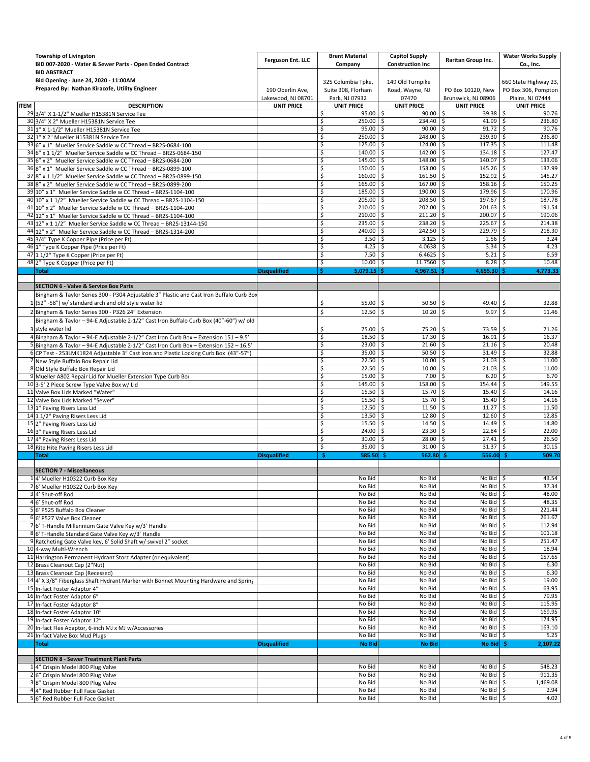| <b>Township of Livingston</b><br>BID 007-2020 - Water & Sewer Parts - Open Ended Contract<br><b>BID ABSTRACT</b>                | Ferguson Ent. LLC                      | <b>Brent Material</b><br>Company                           | <b>Capitol Supply</b><br><b>Construction Inc</b> | Raritan Group Inc.                                         | <b>Water Works Supply</b><br>Co., Inc.                           |
|---------------------------------------------------------------------------------------------------------------------------------|----------------------------------------|------------------------------------------------------------|--------------------------------------------------|------------------------------------------------------------|------------------------------------------------------------------|
| Bid Opening - June 24, 2020 - 11:00AM<br>Prepared By: Nathan Kiracofe, Utility Engineer                                         | 190 Oberlin Ave,<br>Lakewood, NJ 08701 | 325 Columbia Tpke,<br>Suite 308, Florham<br>Park, NJ 07932 | 149 Old Turnpike<br>Road, Wayne, NJ<br>07470     | PO Box 10120, New<br>Brunswick, NJ 08906                   | 660 State Highway 23,<br>PO Box 306, Pompton<br>Plains, NJ 07444 |
| <b>ITEM</b><br><b>DESCRIPTION</b>                                                                                               | <b>UNIT PRICE</b>                      | <b>UNIT PRICE</b>                                          | <b>UNIT PRICE</b>                                | <b>UNIT PRICE</b>                                          | <b>UNIT PRICE</b>                                                |
| 29 3/4" X 1-1/2" Mueller H15381N Service Tee                                                                                    |                                        | \$<br>$95.00$ \$                                           | 90.00                                            | \$<br>$39.38$ \$                                           | 90.76                                                            |
| 30 3/4" X 2" Mueller H15381N Service Tee                                                                                        |                                        | \$<br>250.00 \$                                            | 234.40 \$                                        | $41.99$ \$                                                 | 236.80                                                           |
| 31 1" X 1-1/2" Mueller H15381N Service Tee                                                                                      |                                        | \$<br>$95.00$ \$                                           | $90.00$ \$                                       | $91.72$ \$                                                 | 90.76                                                            |
| 32 1" X 2" Mueller H15381N Service Tee                                                                                          |                                        | \$<br>250.00                                               | l \$<br>248.00 \$                                | $239.30$ \$                                                | 236.80                                                           |
| 33 6" x 1" Mueller Service Saddle w CC Thread - BR2S-0684-100                                                                   |                                        | 125.00<br>\$.                                              | 124.00<br>-\$                                    | 117.35<br>-S                                               | 111.48<br>-\$                                                    |
| 34 6" x 1 1/2" Mueller Service Saddle w CC Thread - BR2S-0684-150                                                               |                                        | $140.00$ \$<br>\$                                          | 142.00 \$                                        | $134.18$ \$                                                | 127.47                                                           |
| 35 6" x 2" Mueller Service Saddle w CC Thread - BR2S-0684-200                                                                   |                                        | \$<br>145.00                                               | 148.00<br>-Ś                                     | \$<br>140.07 \$                                            | 133.06                                                           |
| 36 8" x 1" Mueller Service Saddle w CC Thread - BR2S-0899-100                                                                   |                                        | 150.00<br>\$                                               | 153.00<br>-\$                                    | \$<br>145.26                                               | 137.99<br>\$                                                     |
| 37 8" x 1 1/2" Mueller Service Saddle w CC Thread - BR2S-0899-150                                                               |                                        | 160.00 \$<br>\$<br>165.00                                  | $161.50$ \$<br>$167.00$ \$                       | $152.92$ \$<br>$158.16$ \$                                 | 145.27<br>150.25                                                 |
| 38 8" x 2" Mueller Service Saddle w CC Thread - BR2S-0899-200<br>39 10" x 1" Mueller Service Saddle w CC Thread - BR2S-1104-100 |                                        | \$<br>\$<br>185.00                                         | -\$<br>190.00<br>-\$                             | \$<br>179.96                                               | \$<br>170.96                                                     |
| 40 10" x 1 1/2" Mueller Service Saddle w CC Thread - BR2S-1104-150                                                              |                                        | \$<br>205.00 \$                                            | 208.50 \$                                        | 197.67 \$                                                  | 187.78                                                           |
| 41 10" x 2" Mueller Service Saddle w CC Thread - BR2S-1104-200                                                                  |                                        | 210.00<br>\$                                               | l \$<br>202.00 \$                                | 201.63                                                     | 191.54<br>\$                                                     |
| 42 12" x 1" Mueller Service Saddle w CC Thread - BR2S-1104-100                                                                  |                                        | \$<br>210.00 \$                                            | $211.20$ \$                                      | $200.07$ \$                                                | 190.06                                                           |
| 43 12" x 1 1/2" Mueller Service Saddle w CC Thread - BR2S-13144-150                                                             |                                        | 235.00<br>\$                                               | 238.20 \$<br>-Ś                                  | 225.67                                                     | 214.38<br>l \$                                                   |
| 44 12" x 2" Mueller Service Saddle w CC Thread - BR2S-1314-200                                                                  |                                        | 240.00<br>\$                                               | 242.50<br>-\$                                    | -\$<br>229.79                                              | 218.30<br>-\$                                                    |
| 45 3/4" Type K Copper Pipe (Price per Ft)                                                                                       |                                        | 3.50<br>\$                                                 | 3.125<br>-\$                                     | \$<br>$2.56$ \$                                            | 3.24                                                             |
| 46 1" Type K Copper Pipe (Price per Ft)                                                                                         |                                        | \$<br>4.25                                                 | 4.0638<br>-Ś                                     | -\$<br>$3.34 \pm 5$                                        | 4.23                                                             |
| 47 1 1/2" Type K Copper (Price per Ft)                                                                                          |                                        | 7.50<br>\$.                                                | 6.4625<br>-S                                     | 5.21<br>-\$                                                | 6.59<br>-\$                                                      |
| 48 2" Type K Copper (Price per Ft)                                                                                              |                                        | \$<br>10.00                                                | 11.7560 \$<br>-\$                                | $8.28\%$                                                   | 10.48                                                            |
| <b>Total</b>                                                                                                                    | <b>Disqualified</b>                    | 5,079.15<br>\$.                                            | 4,967.51                                         | 4,655.30                                                   | 4,773.33<br>Ŝ.                                                   |
|                                                                                                                                 |                                        |                                                            |                                                  |                                                            |                                                                  |
| <b>SECTION 6 - Valve &amp; Service Box Parts</b>                                                                                |                                        |                                                            |                                                  |                                                            |                                                                  |
| Bingham & Taylor Series 300 - P304 Adjustable 3" Plastic and Cast Iron Buffalo Curb Box                                         |                                        |                                                            |                                                  |                                                            |                                                                  |
| 1 (52" -58") w/ standard arch and old style water lid                                                                           |                                        | \$<br>55.00                                                | 50.50<br>-S                                      | \$<br>49.40                                                | \$<br>32.88                                                      |
| 2 Bingham & Taylor Series 300 - P326 24" Extension                                                                              |                                        | \$<br>12.50                                                | \$<br>10.20                                      | \$<br>9.97                                                 | \$<br>11.46                                                      |
| Bingham & Taylor - 94-E Adjustable 2-1/2" Cast Iron Buffalo Curb Box (40"-60") w/ old                                           |                                        |                                                            |                                                  |                                                            |                                                                  |
| 3 style water lid                                                                                                               |                                        | \$<br>75.00                                                | -Ś<br>75.20                                      | \$<br>73.59                                                | \$<br>71.26                                                      |
| 4 Bingham & Taylor - 94-E Adjustable 2-1/2" Cast Iron Curb Box - Extension 151 - 9.5'                                           |                                        | \$<br>18.50                                                | 17.30%<br>l \$                                   | $16.91$ \$                                                 | 16.37                                                            |
| 5 Bingham & Taylor - 94-E Adjustable 2-1/2" Cast Iron Curb Box - Extension 152 - 16.5'                                          |                                        | \$<br>23.00                                                | 21.60<br>l \$                                    | -\$<br>$21.16$ \$                                          | 20.48                                                            |
| 6 CP Test - 253LMK1824 Adjustable 3" Cast Iron and Plastic Locking Curb Box (43"-57"                                            |                                        | \$<br>35.00                                                | -\$<br>50.50                                     | 31.49<br>-\$                                               | 32.88<br>-\$                                                     |
| 7 New Style Buffalo Box Repair Lid                                                                                              |                                        | \$<br>22.50                                                | $10.00$ \$<br>l \$                               | $21.03$ \$                                                 | 11.00                                                            |
| 8 Old Style Buffalo Box Repair Lid                                                                                              |                                        | \$<br>22.50                                                | 10.00                                            | $\varsigma$<br>$21.03$ \$                                  | 11.00                                                            |
| 9 Mueller A802 Repair Lid for Mueller Extension Type Curb Bo>                                                                   |                                        | \$<br>15.00                                                | 7.00<br>-Ś                                       | Ŝ.<br>6.20                                                 | 6.70<br>-\$                                                      |
| 10 3-5' 2 Piece Screw Type Valve Box w/ Lid                                                                                     |                                        | \$<br>145.00                                               | 158.00 \$<br>l \$                                | 154.44                                                     | 149.55<br>\$                                                     |
| 11 Valve Box Lids Marked "Water"                                                                                                |                                        | \$<br>15.50                                                | 15.70<br>-\$                                     | \$<br>15.40                                                | \$<br>14.16                                                      |
| 12 Valve Box Lids Marked "Sewer"                                                                                                |                                        | \$<br>15.50                                                | 15.70<br>-\$                                     | \$<br>15.40                                                | 14.16<br>\$                                                      |
| 13 1" Paving Risers Less Lid                                                                                                    |                                        | \$<br>12.50                                                | 11.50<br>-Ś                                      | 11.27<br>\$                                                | 11.50<br>\$                                                      |
| 14 1 1/2" Paving Risers Less Lid                                                                                                |                                        | \$<br>13.50                                                | -\$<br>12.80                                     | \$<br>12.60                                                | 12.85<br>\$                                                      |
| 15 2" Paving Risers Less Lid                                                                                                    |                                        | \$<br>15.50<br>\$<br>24.00                                 | 14.50<br>-\$<br>23.30<br>-Ś                      | \$<br>14.49<br>Ŝ.<br>$22.84$ \$                            | 14.80<br>\$<br>22.00                                             |
| 16 3" Paving Risers Less Lid<br>17 4" Paving Risers Less Lid                                                                    |                                        | 30.00<br>\$                                                | 28.00<br>-\$                                     | 27.41<br>-S                                                | 26.50<br>-\$                                                     |
| 18 Rite Hite Paving Risers Less Lid                                                                                             |                                        | \$<br>35.00                                                | 31.00<br>-\$                                     | 31.37<br>\$                                                | \$<br>30.15                                                      |
| <b>Total</b>                                                                                                                    | <b>Disqualified</b>                    | \$<br>585.50                                               | 562.80<br>-Ś                                     | 556.00                                                     | 509.70<br>-Ś                                                     |
|                                                                                                                                 |                                        |                                                            |                                                  |                                                            |                                                                  |
| <b>SECTION 7 - Miscellaneous</b>                                                                                                |                                        |                                                            |                                                  |                                                            |                                                                  |
| 14' Mueller H10322 Curb Box Key                                                                                                 |                                        | No Bid                                                     | No Bid                                           | $No$ Bid $\frac{1}{2}$                                     | 43.54                                                            |
| 2 6' Mueller H10322 Curb Box Key                                                                                                |                                        | No Bid                                                     | No Bid                                           | No Bid                                                     | 37.34<br>\$                                                      |
| 3 4' Shut-off Rod                                                                                                               |                                        | No Bid                                                     | No Bid                                           | No Bid $\frac{1}{2}$                                       | 48.00                                                            |
| 4 6' Shut-off Rod                                                                                                               |                                        | No Bid                                                     | No Bid                                           | No Bid                                                     | 48.35<br>\$                                                      |
| 5 6' P525 Buffalo Box Cleaner                                                                                                   |                                        | No Bid                                                     | No Bid                                           | No Bid \$                                                  | 221.44                                                           |
| 6 6' P527 Valve Box Cleaner                                                                                                     |                                        | No Bid                                                     | No Bid                                           | $No$ Bid $\frac{1}{2}$                                     | 261.67                                                           |
| 7 6' T-Handle Millennium Gate Valve Key w/3' Handle                                                                             |                                        | No Bid                                                     | No Bid                                           | No Bid                                                     | 112.94<br>\$                                                     |
| 86' T-Handle Standard Gate Valve Key w/3' Handle                                                                                |                                        | No Bid                                                     | No Bid                                           | $No$ Bid $\frac{1}{5}$                                     | 101.18                                                           |
| 9 Ratcheting Gate Valve key, 6' Solid Shaft w/ swivel 2" socket                                                                 |                                        | No Bid<br>No Bid                                           | No Bid<br>No Bid                                 | No Bid $\frac{1}{2}$<br>$\overline{No}$ Bid $\overline{S}$ | 251.47<br>18.94                                                  |
| 10 4-way Multi-Wrench                                                                                                           |                                        | No Bid                                                     | No Bid                                           | No Bid $\frac{1}{2}$                                       | 157.65                                                           |
| 11 Harrington Permanent Hydrant Storz Adapter (or equivalent)<br>12 Brass Cleanout Cap (2"Nut)                                  |                                        | No Bid                                                     | No Bid                                           | No Bid \$                                                  | 6.30                                                             |
| 13 Brass Cleanout Cap (Recessed)                                                                                                |                                        | No Bid                                                     | No Bid                                           | No Bid                                                     | 6.30<br>\$                                                       |
| 14 4' X 3/8" Fiberglass Shaft Hydrant Marker with Bonnet Mounting Hardware and Spring                                           |                                        | No Bid                                                     | No Bid                                           | No Bid $\frac{1}{2}$                                       | 19.00                                                            |
| 15 In-fact Foster Adaptor 4"                                                                                                    |                                        | No Bid                                                     | No Bid                                           | No Bid                                                     | 63.95<br>\$                                                      |
| 16 In-fact Foster Adaptor 6"                                                                                                    |                                        | No Bid                                                     | No Bid                                           | $No$ Bid $\frac{1}{5}$                                     | 79.95                                                            |
| 17 In-fact Foster Adaptor 8"                                                                                                    |                                        | No Bid                                                     | No Bid                                           | No Bid $\frac{1}{2}$                                       | 115.95                                                           |
| 18 In-fact Foster Adaptor 10"                                                                                                   |                                        | No Bid                                                     | No Bid                                           | No Bid                                                     | 169.95<br>\$                                                     |
| 19 In-fact Foster Adaptor 12"                                                                                                   |                                        | No Bid                                                     | No Bid                                           | $No$ Bid $\frac{1}{2}$                                     | 174.95                                                           |
| 20 In-fact Flex Adaptor, 6-inch MJ x MJ w/Accessories                                                                           |                                        | No Bid                                                     | No Bid                                           | No Bid $\frac{1}{2}$                                       | 163.10                                                           |
| 21 In-fact Valve Box Mud Plugs                                                                                                  |                                        | No Bid                                                     | No Bid                                           | No Bid                                                     | 5.25<br>\$                                                       |
| <b>Total</b>                                                                                                                    | <b>Disqualified</b>                    | <b>No Bid</b>                                              | <b>No Bid</b>                                    | No Bid                                                     | 2,107.22<br>-\$                                                  |
|                                                                                                                                 |                                        |                                                            |                                                  |                                                            |                                                                  |
| <b>SECTION 8 - Sewer Treatment Plant Parts</b>                                                                                  |                                        |                                                            |                                                  |                                                            |                                                                  |
| 1 4" Crispin Model 800 Plug Valve                                                                                               |                                        | No Bid                                                     | No Bid                                           | $No$ Bid $\frac{1}{2}$                                     | 548.23                                                           |
| 2 6" Crispin Model 800 Plug Valve                                                                                               |                                        | No Bid                                                     | No Bid<br>No Bid                                 | No Bid \$                                                  | 911.35                                                           |
| 3 8" Crispin Model 800 Plug Valve                                                                                               |                                        | No Bid<br>No Bid                                           | No Bid                                           | No Bid $\frac{1}{2}$<br>No Bid $\frac{1}{2}$               | 1,469.08<br>2.94                                                 |
| 4 4" Red Rubber Full Face Gasket                                                                                                |                                        | No Bid                                                     | No Bid                                           | No Bid \$                                                  | 4.02                                                             |
| 56" Red Rubber Full Face Gasket                                                                                                 |                                        |                                                            |                                                  |                                                            |                                                                  |